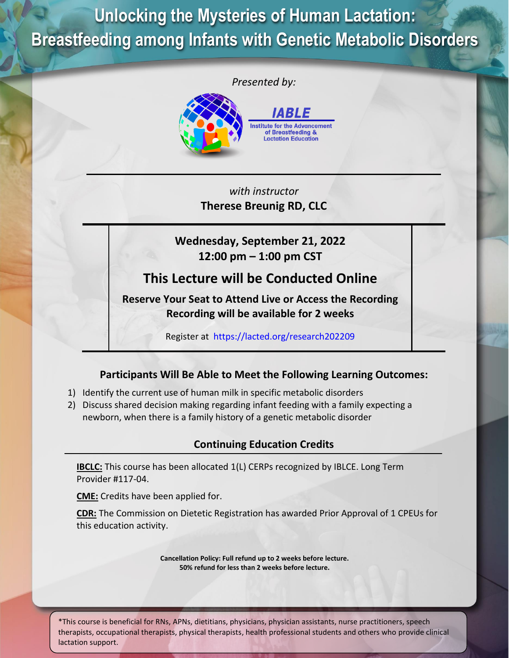**Unlocking the Mysteries of Human Lactation: Breastfeeding among Infants with Genetic Metabolic Disorders**



*with instructor* **Therese Breunig RD, CLC**

**Wednesday, September 21, 2022 12:00 pm – 1:00 pm CST**

# **This Lecture will be Conducted Online**

**Reserve Your Seat to Attend Live or Access the Recording Recording will be available for 2 weeks**

Register at <https://lacted.org/research202209>

## **Participants Will Be Able to Meet the Following Learning Outcomes:**

- 1) Identify the current use of human milk in specific metabolic disorders
- 2) Discuss shared decision making regarding infant feeding with a family expecting a newborn, when there is a family history of a genetic metabolic disorder

## **Continuing Education Credits**

**IBCLC:** This course has been allocated 1(L) CERPs recognized by IBLCE. Long Term Provider #117-04.

**CME:** Credits have been applied for.

**CDR:** The Commission on Dietetic Registration has awarded Prior Approval of 1 CPEUs for this education activity.

> **Cancellation Policy: Full refund up to 2 weeks before lecture. 50% refund for less than 2 weeks before lecture.**

\*This course is beneficial for RNs, APNs, dietitians, physicians, physician assistants, nurse practitioners, speech therapists, occupational therapists, physical therapists, health professional students and others who provide clinical lactation support.